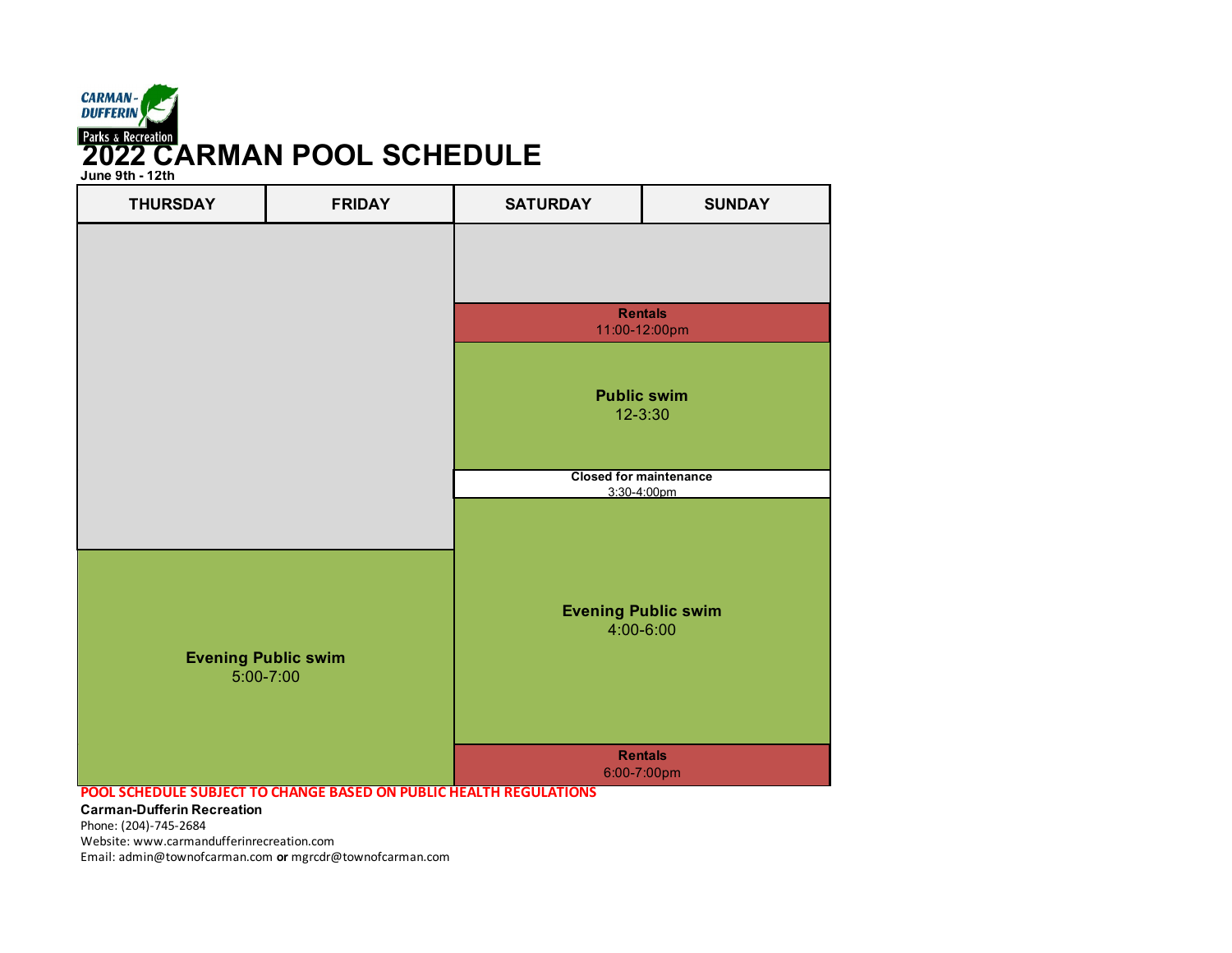

**June 9th - 12th**

| <b>THURSDAY</b>                         | <b>FRIDAY</b>                                                      | <b>SATURDAY</b>                         | <b>SUNDAY</b>                                |  |
|-----------------------------------------|--------------------------------------------------------------------|-----------------------------------------|----------------------------------------------|--|
|                                         |                                                                    |                                         |                                              |  |
|                                         |                                                                    | <b>Rentals</b><br>11:00-12:00pm         |                                              |  |
|                                         |                                                                    |                                         | <b>Public swim</b><br>12-3:30                |  |
|                                         |                                                                    |                                         | <b>Closed for maintenance</b><br>3:30-4:00pm |  |
| <b>Evening Public swim</b><br>5:00-7:00 |                                                                    | <b>Evening Public swim</b><br>4:00-6:00 |                                              |  |
|                                         | POOL SCHEDULE SUBJECT TO CHANGE BASED ON PUBLIC HEALTH REGULATIONS |                                         | <b>Rentals</b><br>6:00-7:00pm                |  |

**Carman-Dufferin Recreation**

Phone: (204)-745-2684

Website: www.carmandufferinrecreation.com

Email: admin@townofcarman.com **or** mgrcdr@townofcarman.com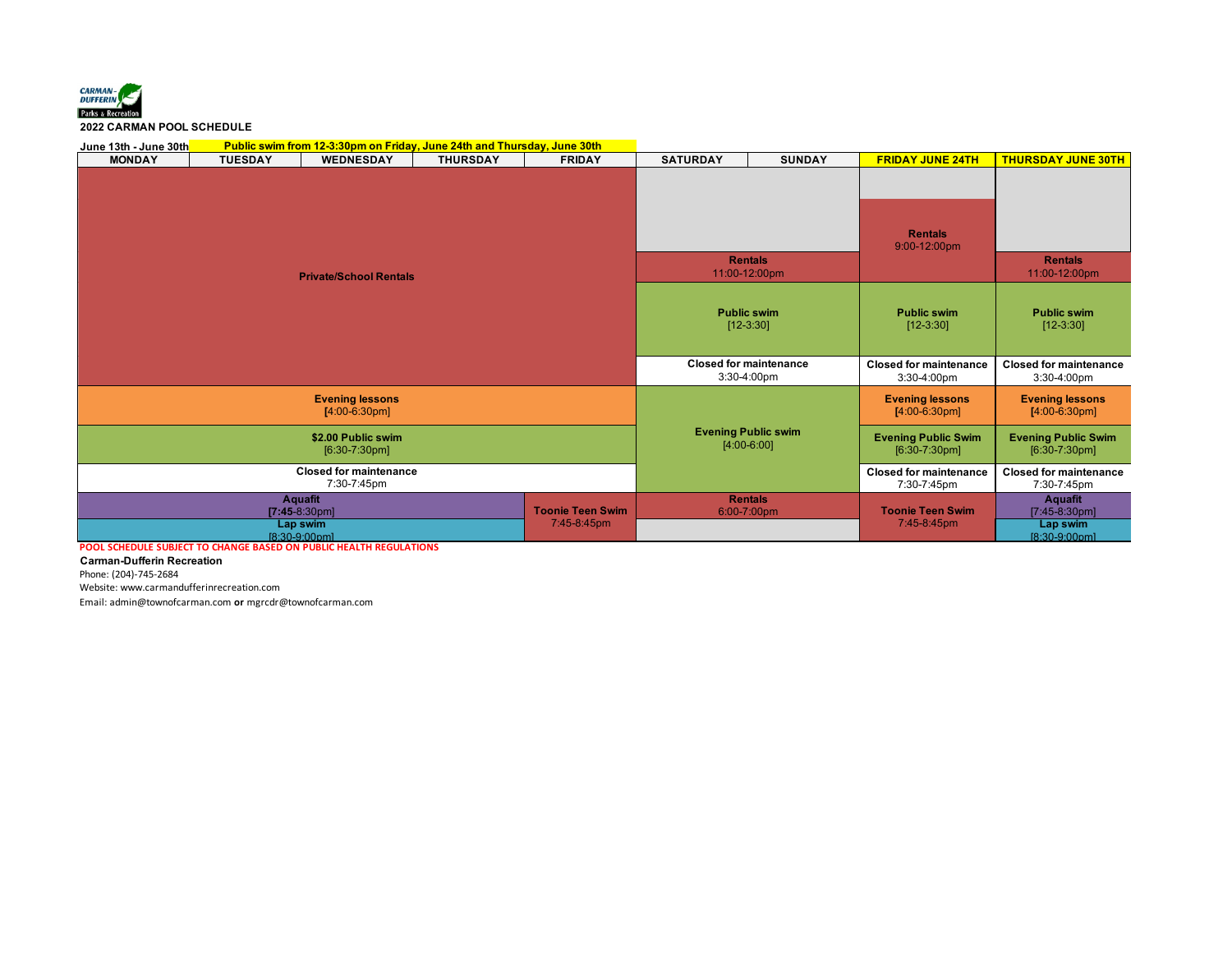

## **2022 CARMAN POOL SCHEDULE**

| Public swim from 12-3:30pm on Friday, June 24th and Thursday, June 30th<br>June 13th - June 30th |                |                                                                |                                             |                                        |                                               |                                               |                                              |                                                                |
|--------------------------------------------------------------------------------------------------|----------------|----------------------------------------------------------------|---------------------------------------------|----------------------------------------|-----------------------------------------------|-----------------------------------------------|----------------------------------------------|----------------------------------------------------------------|
| <b>MONDAY</b>                                                                                    | <b>TUESDAY</b> | <b>WEDNESDAY</b>                                               | <b>THURSDAY</b>                             | <b>FRIDAY</b>                          | <b>SATURDAY</b>                               | <b>SUNDAY</b>                                 | <b>FRIDAY JUNE 24TH</b>                      | <b>THURSDAY JUNE 30TH</b>                                      |
|                                                                                                  |                |                                                                |                                             |                                        |                                               | <b>Rentals</b>                                | <b>Rentals</b><br>9:00-12:00pm               | <b>Rentals</b>                                                 |
| <b>Private/School Rentals</b>                                                                    |                |                                                                |                                             |                                        | 11:00-12:00pm                                 |                                               |                                              | 11:00-12:00pm                                                  |
|                                                                                                  |                |                                                                | <b>Public swim</b><br>$[12-3:30]$           |                                        | <b>Public swim</b><br>$[12-3:30]$             | <b>Public swim</b><br>$[12-3:30]$             |                                              |                                                                |
|                                                                                                  |                |                                                                |                                             |                                        | <b>Closed for maintenance</b><br>3:30-4:00pm  | <b>Closed for maintenance</b><br>3:30-4:00pm  | <b>Closed for maintenance</b><br>3:30-4:00pm |                                                                |
|                                                                                                  |                | <b>Evening lessons</b><br>$[4:00-6:30pm]$                      |                                             |                                        |                                               |                                               | <b>Evening lessons</b><br>$[4:00-6:30pm]$    | <b>Evening lessons</b><br>$[4:00-6:30pm]$                      |
| \$2.00 Public swim<br>$[6:30-7:30pm]$                                                            |                |                                                                | <b>Evening Public swim</b><br>$[4:00-6:00]$ |                                        | <b>Evening Public Swim</b><br>$[6:30-7:30pm]$ | <b>Evening Public Swim</b><br>$[6:30-7:30pm]$ |                                              |                                                                |
| <b>Closed for maintenance</b><br>7:30-7:45pm                                                     |                |                                                                |                                             |                                        | <b>Closed for maintenance</b><br>7:30-7:45pm  | <b>Closed for maintenance</b><br>7:30-7:45pm  |                                              |                                                                |
| POOL SCHEDULE SUBJECT TO CHANGE BASED ON PUBLIC HEALTH REGULATIONS                               |                | <b>Aquafit</b><br>$[7:45-8:30pm]$<br>Lap swim<br>[8:30-9:00pm] |                                             | <b>Toonie Teen Swim</b><br>7:45-8:45pm |                                               | <b>Rentals</b><br>6:00-7:00pm                 | <b>Toonie Teen Swim</b><br>7:45-8:45pm       | <b>Aquafit</b><br>$[7:45-8:30pm]$<br>Lap swim<br>[8:30-9:00pm] |

**Carman-Dufferin Recreation**

Phone: (204)-745-2684

Website: www.carmandufferinrecreation.com

Email: admin@townofcarman.com **or** mgrcdr@townofcarman.com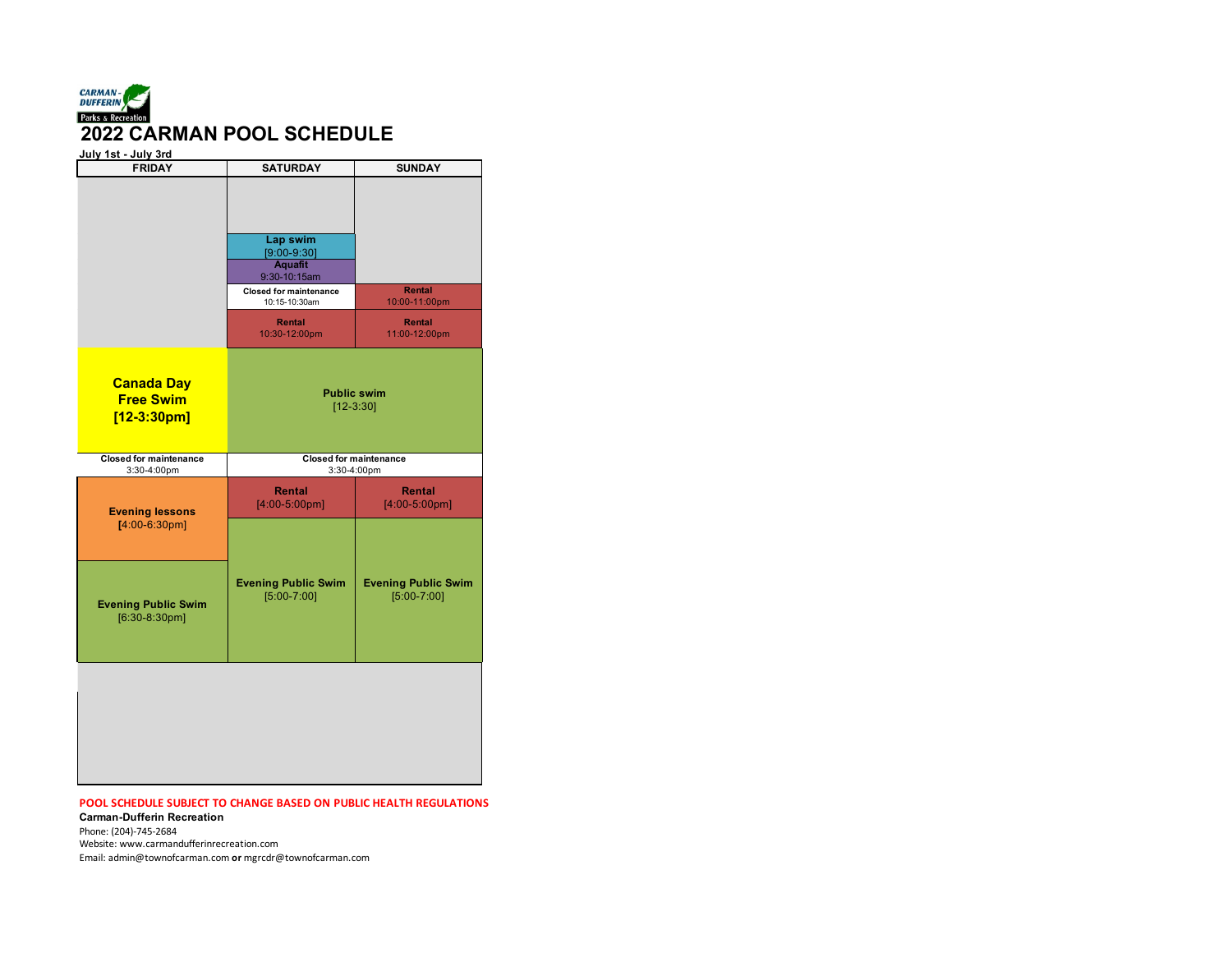

| July 1st - July 3rd<br><b>FRIDAY</b>                   | <b>SATURDAY</b>                                                                                               | <b>SUNDAY</b>                                 |  |  |
|--------------------------------------------------------|---------------------------------------------------------------------------------------------------------------|-----------------------------------------------|--|--|
|                                                        | Lap swim<br>$[9:00-9:30]$<br><b>Aquafit</b><br>9:30-10:15am<br><b>Closed for maintenance</b><br>10:15-10:30am | Rental<br>10:00-11:00pm                       |  |  |
|                                                        | Rental<br>10:30-12:00pm                                                                                       | Rental<br>11:00-12:00pm                       |  |  |
| <b>Canada Day</b><br><b>Free Swim</b><br>$[12-3:30pm]$ |                                                                                                               | <b>Public swim</b><br>$[12-3:30]$             |  |  |
| <b>Closed for maintenance</b><br>3:30-4:00pm           | <b>Closed for maintenance</b>                                                                                 | 3:30-4:00pm                                   |  |  |
| <b>Evening lessons</b><br>$[4:00-6:30pm]$              | <b>Rental</b><br>$[4:00-5:00pm]$                                                                              | <b>Rental</b><br>$[4:00-5:00pm]$              |  |  |
| <b>Evening Public Swim</b><br>$[6:30-8:30pm]$          | <b>Evening Public Swim</b><br>$[5:00-7:00]$                                                                   | <b>Evening Public Swim</b><br>$[5:00 - 7:00]$ |  |  |
|                                                        |                                                                                                               |                                               |  |  |

## **POOL SCHEDULE SUBJECT TO CHANGE BASED ON PUBLIC HEALTH REGULATIONS**

**Carman-Dufferin Recreation** Phone: (204)-745-2684 Website: www.carmandufferinrecreation.com

Email: admin@townofcarman.com **or** mgrcdr@townofcarman.com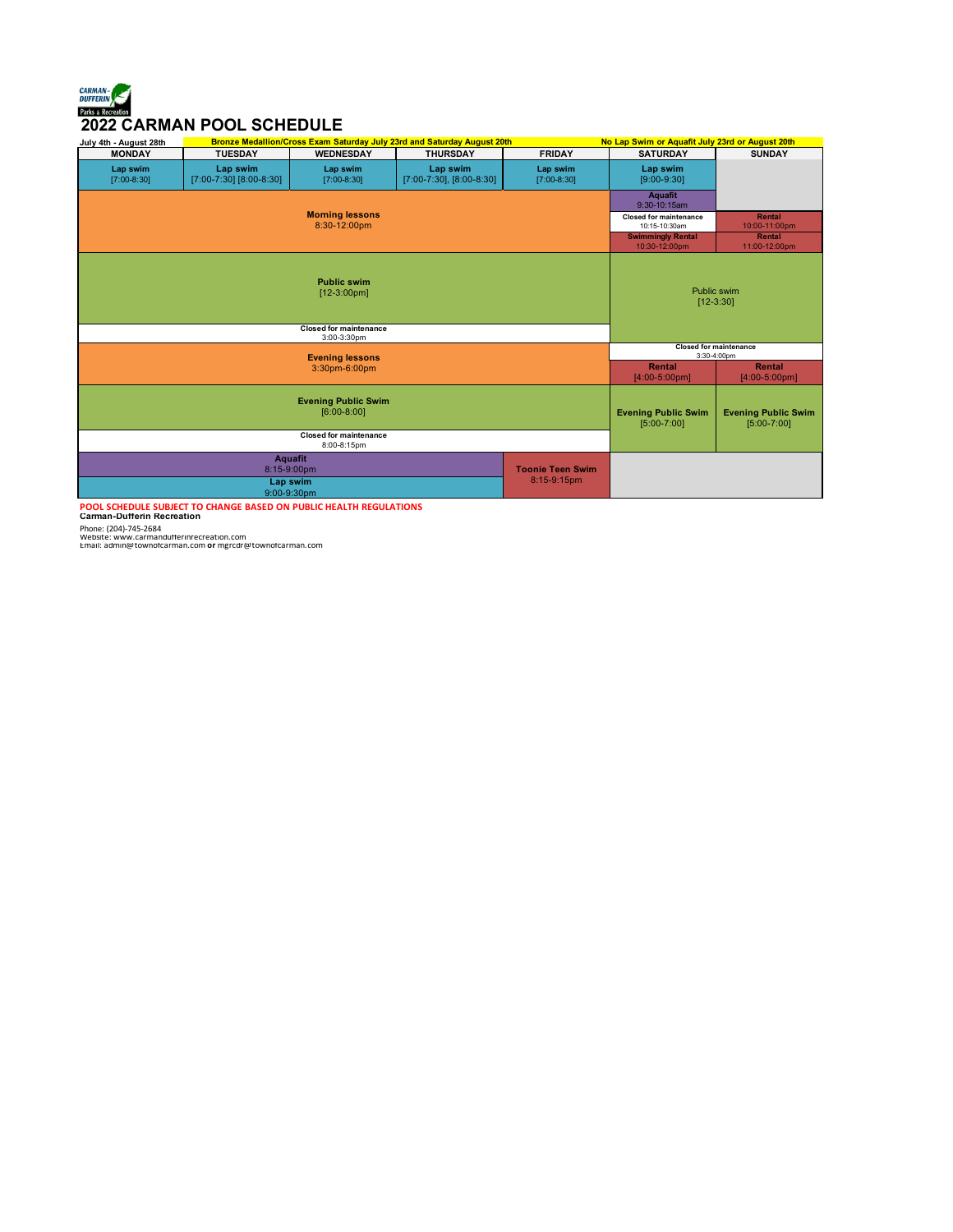## *CARMAN- QUE CARMAN-<br>DENSIFIERING*<br>2022 CARMAN POOL SCHEDULE

| July 4th - August 28th                                                                             | <b>Bronze Medallion/Cross Exam Saturday July 23rd and Saturday August 20th</b> |                                                                      |                                           |                                              | No Lap Swim or Aquafit July 23rd or August 20th                                              |                            |
|----------------------------------------------------------------------------------------------------|--------------------------------------------------------------------------------|----------------------------------------------------------------------|-------------------------------------------|----------------------------------------------|----------------------------------------------------------------------------------------------|----------------------------|
| <b>MONDAY</b>                                                                                      | <b>TUESDAY</b>                                                                 | <b>WEDNESDAY</b>                                                     | <b>THURSDAY</b>                           | <b>FRIDAY</b>                                | <b>SATURDAY</b>                                                                              | <b>SUNDAY</b>              |
| Lap swim<br>$[7:00-8:30]$                                                                          | Lap swim<br>[7:00-7:30] [8:00-8:30]                                            | Lap swim<br>$[7:00-8:30]$                                            | Lap swim<br>$[7:00-7:30]$ , $[8:00-8:30]$ | Lap swim<br>$[7:00-8:30]$                    | Lap swim<br>$[9:00-9:30]$                                                                    |                            |
| <b>Morning lessons</b><br>8:30-12:00pm                                                             |                                                                                |                                                                      |                                           |                                              | <b>Aquafit</b><br>9:30-10:15am                                                               |                            |
|                                                                                                    |                                                                                |                                                                      |                                           |                                              | <b>Closed for maintenance</b><br>10:15-10:30am                                               | Rental<br>10:00-11:00pm    |
|                                                                                                    |                                                                                |                                                                      |                                           |                                              | <b>Swimmingly Rental</b><br>10:30-12:00pm                                                    | Rental<br>11:00-12:00pm    |
|                                                                                                    |                                                                                | <b>Public swim</b><br>$[12-3:00pm]$<br><b>Closed for maintenance</b> |                                           |                                              |                                                                                              | Public swim<br>$[12-3:30]$ |
|                                                                                                    |                                                                                | 3:00-3:30pm                                                          |                                           |                                              |                                                                                              |                            |
| <b>Evening lessons</b>                                                                             |                                                                                |                                                                      |                                           | <b>Closed for maintenance</b><br>3:30-4:00pm |                                                                                              |                            |
| 3:30pm-6:00pm                                                                                      |                                                                                |                                                                      |                                           |                                              | Rental<br>$[4:00-5:00pm]$                                                                    | Rental<br>$[4:00-5:00pm]$  |
| <b>Evening Public Swim</b><br>$[6:00-8:00]$                                                        |                                                                                |                                                                      |                                           |                                              | <b>Evening Public Swim</b><br><b>Evening Public Swim</b><br>$[5:00 - 7:00]$<br>$[5:00-7:00]$ |                            |
|                                                                                                    |                                                                                | <b>Closed for maintenance</b><br>8:00-8:15pm                         |                                           |                                              |                                                                                              |                            |
| <b>Aquafit</b><br><b>Toonie Teen Swim</b><br>8:15-9:00pm<br>8:15-9:15pm<br>Lap swim<br>9:00-9:30pm |                                                                                |                                                                      |                                           |                                              |                                                                                              |                            |
|                                                                                                    |                                                                                |                                                                      |                                           |                                              |                                                                                              |                            |

POOL SCHEDULE SUBJECT TO CHANGE BASED ON PUBLIC HEALTH REGULATIONS<br>Carman-Dufferin Recreation<br>Phone: (204)-745-2684<br>Website: www.carmandutterinrecreation.com<br>Email: admin@townotcarman.com or mgrcdr@townotcarman.com